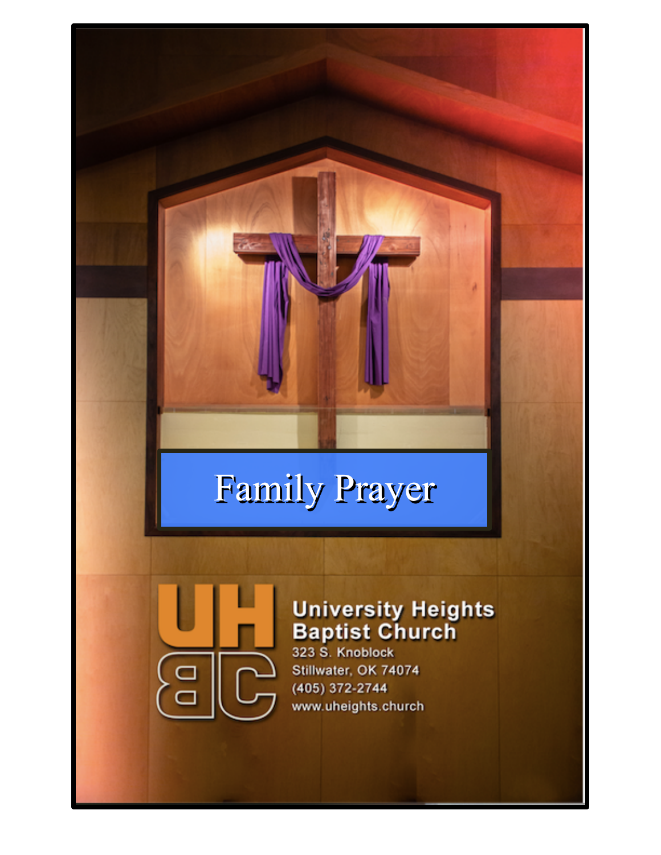# Family Prayer



# **University Heights<br>Baptist Church**

323 S. Knoblock Stillwater, OK 74074 (405) 372-2744 www.uheights.church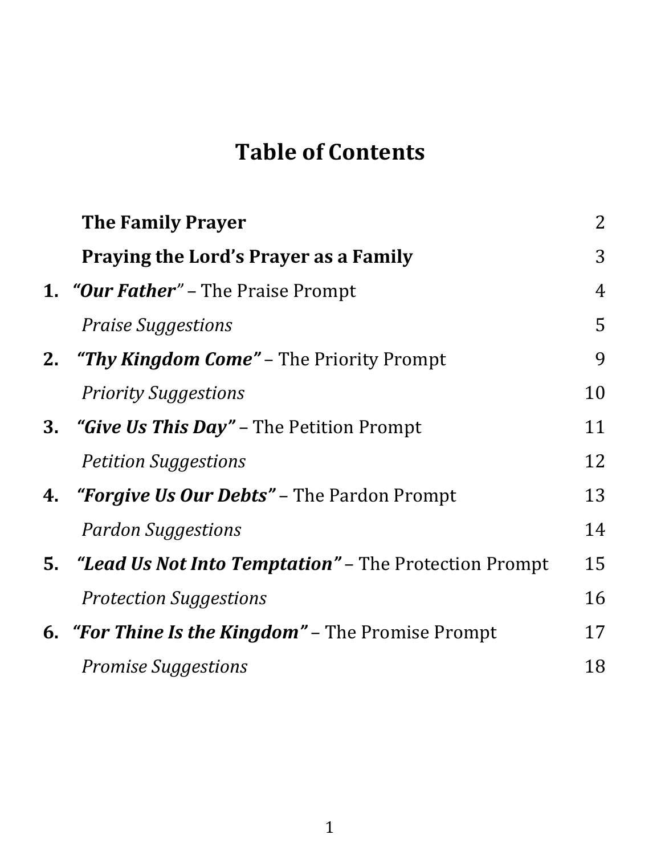# **Table of Contents**

|    | <b>The Family Prayer</b>                                               | $\overline{2}$ |
|----|------------------------------------------------------------------------|----------------|
|    | <b>Praying the Lord's Prayer as a Family</b>                           | 3              |
|    | <b>1. <i>"Our Father"</i></b> – The Praise Prompt                      | $\overline{4}$ |
|    | <b>Praise Suggestions</b>                                              | 5              |
| 2. | <b><i>"Thy Kingdom Come"</i></b> – The Priority Prompt                 | 9              |
|    | <b>Priority Suggestions</b>                                            | 10             |
| 3. | <i>"Give Us This Day"</i> – The Petition Prompt                        | 11             |
|    | <b>Petition Suggestions</b>                                            | 12             |
|    | 4. <i>"Forgive Us Our Debts"</i> – The Pardon Prompt                   | 13             |
|    | <b>Pardon Suggestions</b>                                              | 14             |
|    | <b>5.</b> <i>"Lead Us Not Into Temptation"</i> – The Protection Prompt | 15             |
|    | <b>Protection Suggestions</b>                                          | 16             |
|    | <b>6.</b> "For Thine Is the Kingdom" – The Promise Prompt              | 17             |
|    | <b>Promise Suggestions</b>                                             | 18             |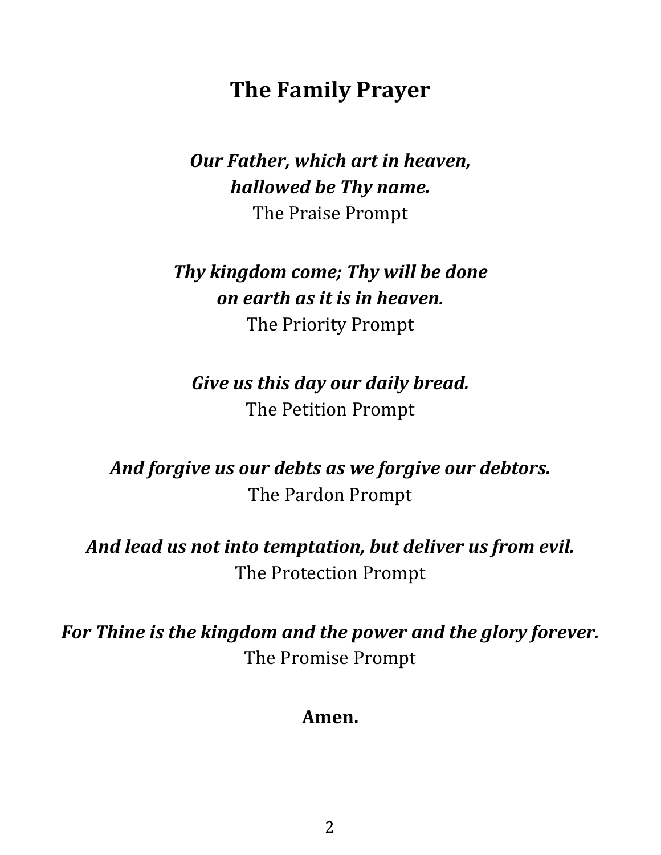# **The Family Prayer**

#### *Our Father, which art in heaven, hallowed be Thy name.* The Praise Prompt

#### *Thy kingdom come; Thy will be done on earth as it is in heaven.* The Priority Prompt

#### *Give us this day our daily bread.* The Petition Prompt

## *And forgive us our debts as we forgive our debtors.* The Pardon Prompt

#### *And lead us not into temptation, but deliver us from evil.* The Protection Prompt

*For Thine is the kingdom and the power and the glory forever.* The Promise Prompt

#### **Amen.**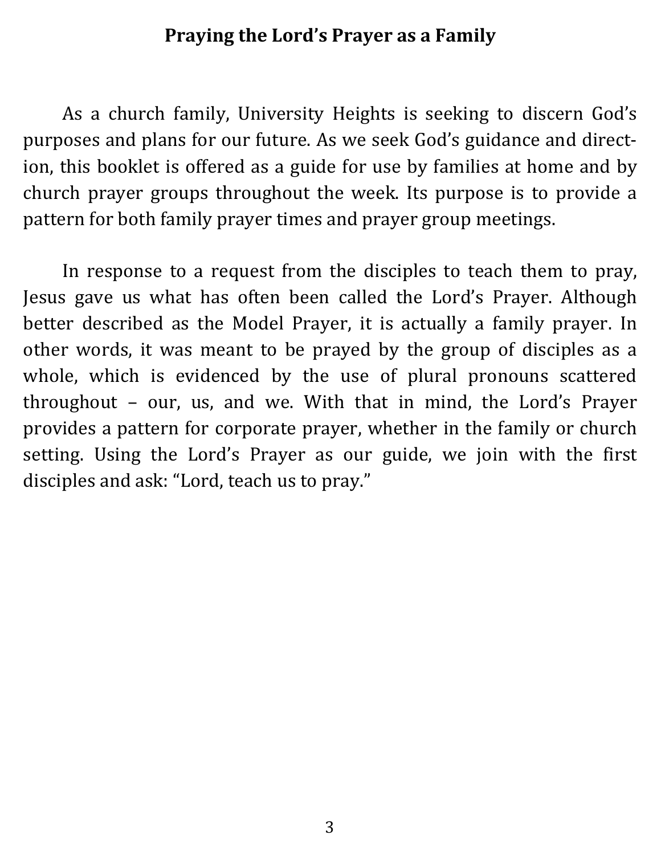#### **Praying the Lord's Prayer as a Family**

As a church family, University Heights is seeking to discern God's purposes and plans for our future. As we seek God's guidance and direction, this booklet is offered as a guide for use by families at home and by church prayer groups throughout the week. Its purpose is to provide a pattern for both family prayer times and prayer group meetings.

In response to a request from the disciples to teach them to pray, Jesus gave us what has often been called the Lord's Prayer. Although better described as the Model Prayer, it is actually a family prayer. In other words, it was meant to be prayed by the group of disciples as a whole, which is evidenced by the use of plural pronouns scattered throughout  $-$  our, us, and we. With that in mind, the Lord's Prayer provides a pattern for corporate prayer, whether in the family or church setting. Using the Lord's Prayer as our guide, we join with the first disciples and ask: "Lord, teach us to pray."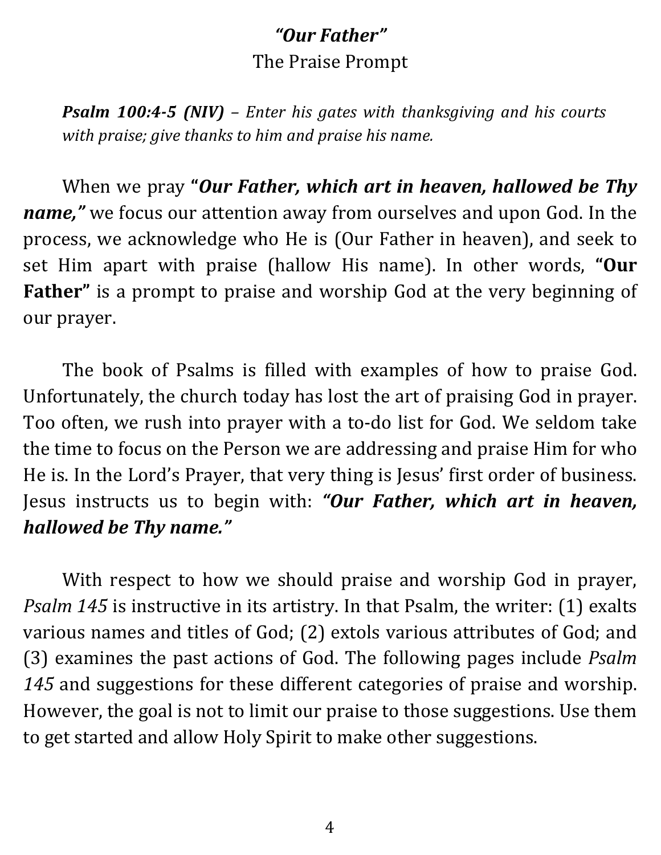## *"Our Father"* The Praise Prompt

*Psalm 100:4-5 (NIV)* – *Enter his gates* with *thanksgiving* and *his* courts *with praise; give thanks to him and praise his name.* 

When we pray "Our Father, which art in heaven, hallowed be Thy *name*," we focus our attention away from ourselves and upon God. In the process, we acknowledge who He is (Our Father in heaven), and seek to set Him apart with praise (hallow His name). In other words, "Our Father" is a prompt to praise and worship God at the very beginning of our prayer. 

The book of Psalms is filled with examples of how to praise God. Unfortunately, the church today has lost the art of praising God in prayer. Too often, we rush into prayer with a to-do list for God. We seldom take the time to focus on the Person we are addressing and praise Him for who He is. In the Lord's Prayer, that very thing is Jesus' first order of business. Jesus instructs us to begin with: "Our Father, which art in heaven, *hallowed be Thy name."*

With respect to how we should praise and worship God in prayer, *Psalm* 145 is instructive in its artistry. In that Psalm, the writer: (1) exalts various names and titles of God; (2) extols various attributes of God; and (3) examines the past actions of God. The following pages include *Psalm* 145 and suggestions for these different categories of praise and worship. However, the goal is not to limit our praise to those suggestions. Use them to get started and allow Holy Spirit to make other suggestions.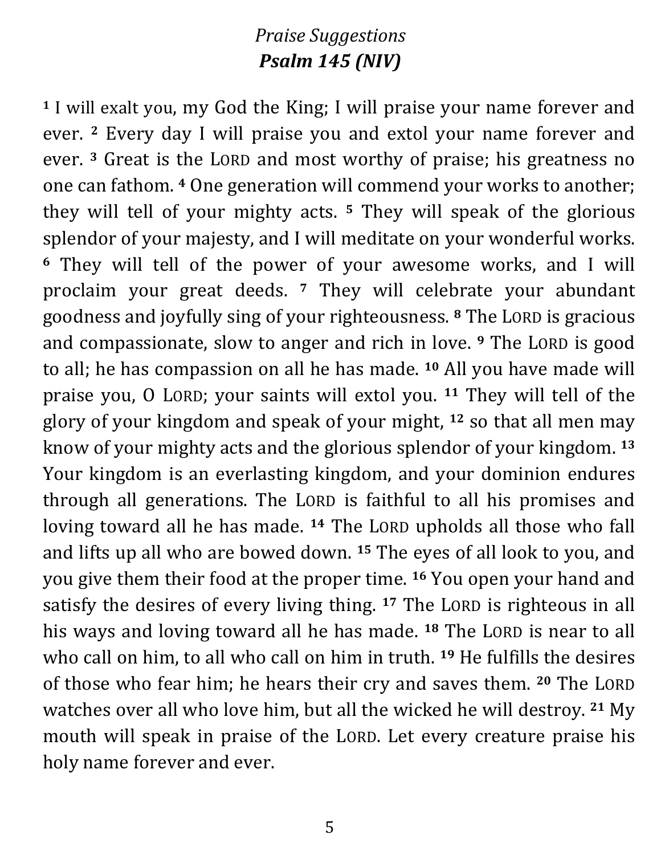#### *Praise Suggestions Psalm 145 (NIV)*

**1** I will exalt you, my God the King; I will praise your name forever and ever. <sup>2</sup> Every day I will praise you and extol your name forever and ever. <sup>3</sup> Great is the LORD and most worthy of praise; his greatness no one can fathom. <sup>4</sup> One generation will commend your works to another; they will tell of your mighty acts. <sup>5</sup> They will speak of the glorious splendor of your majesty, and I will meditate on your wonderful works. <sup>6</sup> They will tell of the power of your awesome works, and I will proclaim your great deeds. <sup>7</sup> They will celebrate your abundant goodness and joyfully sing of your righteousness. <sup>8</sup> The LORD is gracious and compassionate, slow to anger and rich in love. <sup>9</sup> The LORD is good to all; he has compassion on all he has made. <sup>10</sup> All you have made will praise you, O LORD; your saints will extol you. <sup>11</sup> They will tell of the glory of your kingdom and speak of your might, <sup>12</sup> so that all men may know of your mighty acts and the glorious splendor of your kingdom. <sup>13</sup> Your kingdom is an everlasting kingdom, and your dominion endures through all generations. The LORD is faithful to all his promises and loving toward all he has made. <sup>14</sup> The LORD upholds all those who fall and lifts up all who are bowed down. <sup>15</sup> The eyes of all look to you, and you give them their food at the proper time. <sup>16</sup> You open your hand and satisfy the desires of every living thing. <sup>17</sup> The LORD is righteous in all his ways and loving toward all he has made. <sup>18</sup> The LORD is near to all who call on him, to all who call on him in truth. <sup>19</sup> He fulfills the desires of those who fear him; he hears their cry and saves them. <sup>20</sup> The LORD watches over all who love him, but all the wicked he will destroy. <sup>21</sup> My mouth will speak in praise of the LORD. Let every creature praise his holy name forever and ever.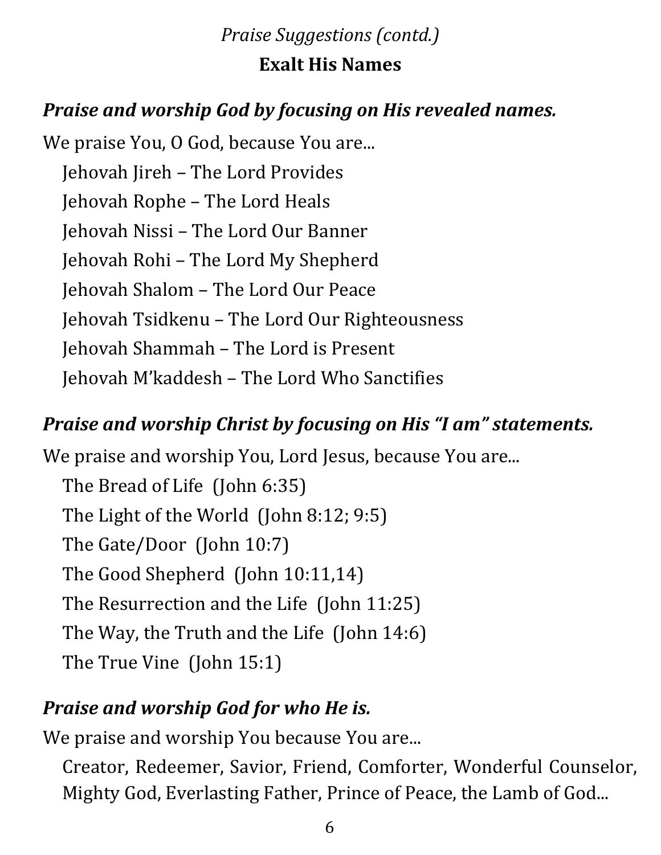#### *Praise Suggestions (contd.)*

#### **Exalt His Names**

## *Praise and worship God by focusing on His revealed names.*

We praise You, O God, because You are... Jehovah Jireh – The Lord Provides Jehovah Rophe – The Lord Heals Jehovah Nissi – The Lord Our Banner Jehovah Rohi – The Lord My Shepherd Jehovah Shalom – The Lord Our Peace Jehovah Tsidkenu – The Lord Our Righteousness Jehovah Shammah – The Lord is Present Jehovah M'kaddesh – The Lord Who Sanctifies

#### *Praise and worship Christ by focusing on His "I am" statements.*

We praise and worship You, Lord Jesus, because You are... The Bread of Life (John 6:35) The Light of the World (John  $8:12; 9:5$ ) The Gate/Door (John 10:7) The Good Shepherd (John 10:11,14) The Resurrection and the Life  $(John 11:25)$ The Way, the Truth and the Life (John 14:6) The True Vine (John 15:1)

#### *Praise and worship God for who He is.*

We praise and worship You because You are...

Creator, Redeemer, Savior, Friend, Comforter, Wonderful Counselor, Mighty God, Everlasting Father, Prince of Peace, the Lamb of God...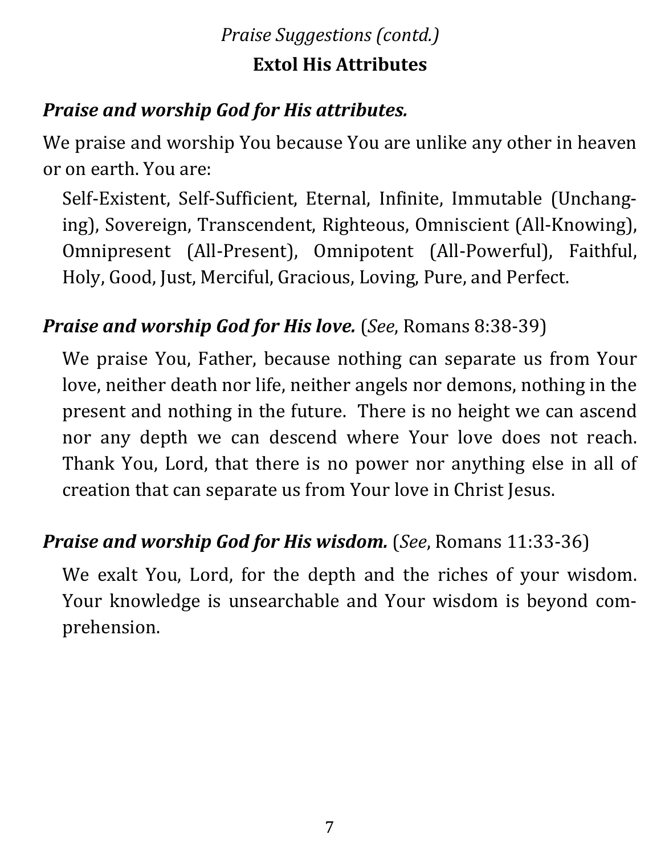# *Praise Suggestions (contd.)* **Extol His Attributes**

# **Praise and worship God for His attributes.**

We praise and worship You because You are unlike any other in heaven or on earth. You are:

Self-Existent, Self-Sufficient, Eternal, Infinite, Immutable (Unchanging), Sovereign, Transcendent, Righteous, Omniscient (All-Knowing), Omnipresent (All-Present), Omnipotent (All-Powerful), Faithful, Holy, Good, Just, Merciful, Gracious, Loving, Pure, and Perfect.

# *Praise and worship God for His love.* (*See, Romans* 8:38-39)

We praise You, Father, because nothing can separate us from Your love, neither death nor life, neither angels nor demons, nothing in the present and nothing in the future. There is no height we can ascend nor any depth we can descend where Your love does not reach. Thank You, Lord, that there is no power nor anything else in all of creation that can separate us from Your love in Christ Jesus.

#### *Praise and worship God for His wisdom.* (*See, Romans* 11:33-36)

We exalt You, Lord, for the depth and the riches of your wisdom. Your knowledge is unsearchable and Your wisdom is beyond comprehension.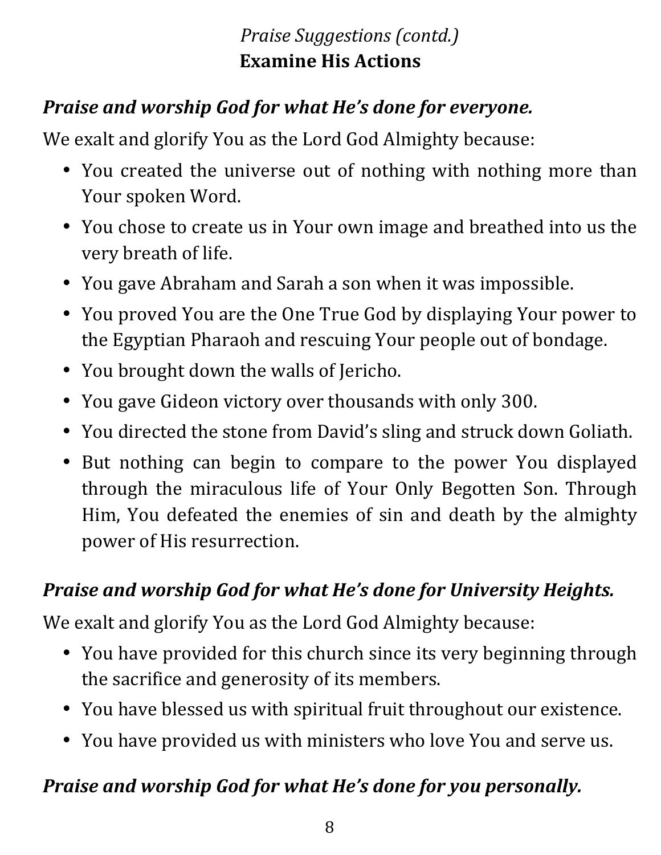# *Praise Suggestions (contd.)* **Examine His Actions**

## *Praise and worship God for what He's done for everyone.*

We exalt and glorify You as the Lord God Almighty because:

- You created the universe out of nothing with nothing more than Your spoken Word.
- You chose to create us in Your own image and breathed into us the very breath of life.
- You gave Abraham and Sarah a son when it was impossible.
- You proved You are the One True God by displaying Your power to the Egyptian Pharaoh and rescuing Your people out of bondage.
- You brought down the walls of Jericho.
- You gave Gideon victory over thousands with only 300.
- You directed the stone from David's sling and struck down Goliath.
- But nothing can begin to compare to the power You displayed through the miraculous life of Your Only Begotten Son. Through Him, You defeated the enemies of sin and death by the almighty power of His resurrection.

## **Praise and worship God for what He's done for University Heights.**

We exalt and glorify You as the Lord God Almighty because:

- You have provided for this church since its very beginning through the sacrifice and generosity of its members.
- You have blessed us with spiritual fruit throughout our existence.
- You have provided us with ministers who love You and serve us.

## Praise and worship God for what He's done for you personally.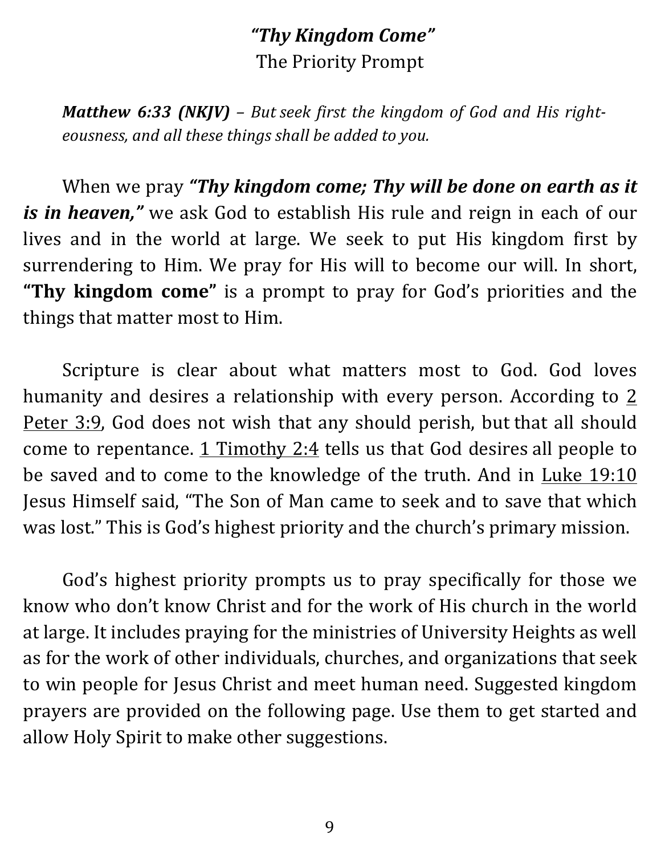### *"Thy Kingdom Come"* The Priority Prompt

*Matthew 6:33 (NKJV) – But seek first the kingdom of God and His right*eousness, and all these things shall be added to you.

When we pray "Thy kingdom come; Thy will be done on earth as it *is in heaven,*" we ask God to establish His rule and reign in each of our lives and in the world at large. We seek to put His kingdom first by surrendering to Him. We pray for His will to become our will. In short, "Thy kingdom come" is a prompt to pray for God's priorities and the things that matter most to Him.

Scripture is clear about what matters most to God. God loves humanity and desires a relationship with every person. According to  $2$ Peter 3:9, God does not wish that any should perish, but that all should come to repentance.  $1$  Timothy  $2:4$  tells us that God desires all people to be saved and to come to the knowledge of the truth. And in Luke  $19:10$ Jesus Himself said, "The Son of Man came to seek and to save that which was lost." This is God's highest priority and the church's primary mission.

God's highest priority prompts us to pray specifically for those we know who don't know Christ and for the work of His church in the world at large. It includes praying for the ministries of University Heights as well as for the work of other individuals, churches, and organizations that seek to win people for Jesus Christ and meet human need. Suggested kingdom prayers are provided on the following page. Use them to get started and allow Holy Spirit to make other suggestions.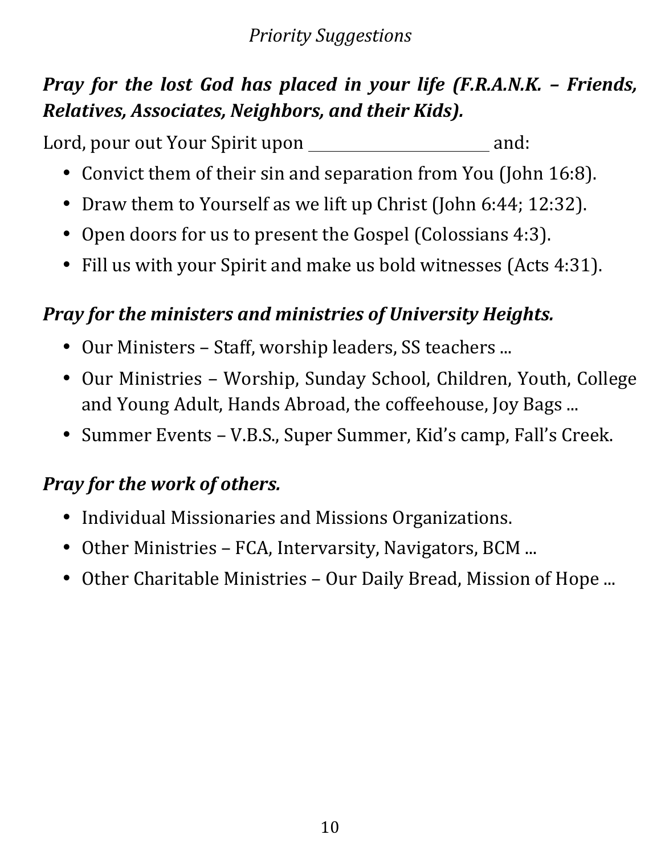#### *Priority Suggestions*

# *Pray for the lost God has placed in your life (F.R.A.N.K. – Friends, Relatives, Associates, Neighbors, and their Kids).*

Lord, pour out Your Spirit upon and:

- Convict them of their sin and separation from You (John 16:8).
- Draw them to Yourself as we lift up Christ (John 6:44; 12:32).
- Open doors for us to present the Gospel (Colossians 4:3).
- Fill us with your Spirit and make us bold witnesses (Acts 4:31).

#### *Pray for the ministers and ministries of University Heights.*

- Our Ministers Staff, worship leaders, SS teachers ...
- Our Ministries Worship, Sunday School, Children, Youth, College and Young Adult, Hands Abroad, the coffeehouse, Joy Bags ...
- Summer Events V.B.S., Super Summer, Kid's camp, Fall's Creek.

#### **Pray for the work of others.**

- Individual Missionaries and Missions Organizations.
- Other Ministries FCA, Intervarsity, Navigators, BCM ...
- Other Charitable Ministries Our Daily Bread, Mission of Hope ...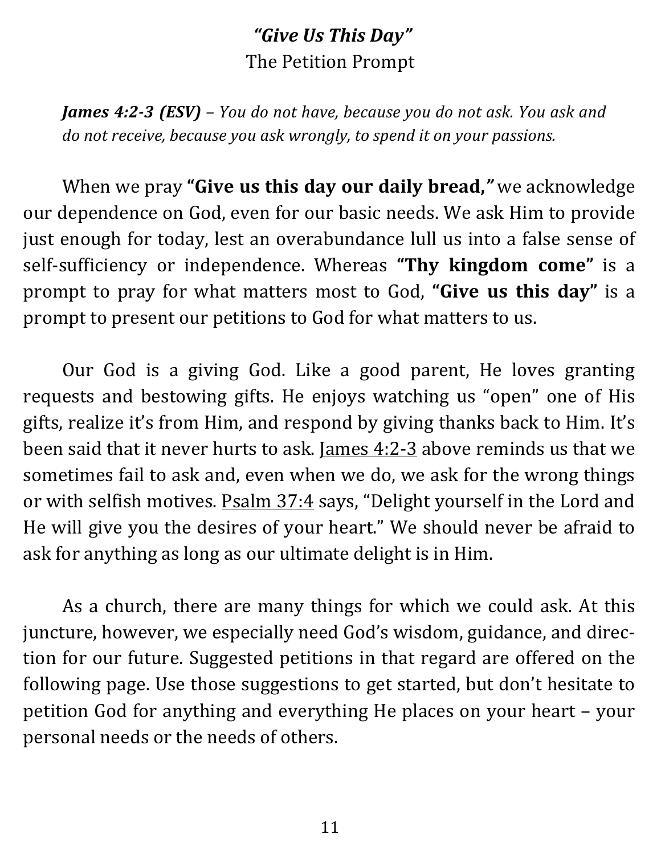## *"Give Us This Day"* The Petition Prompt

*James* **4:2-3 (ESV)** – You do not have, because you do not ask. You ask and *do* not receive, because you ask wrongly, to spend it on your passions.

When we pray "Give us this day our daily bread," we acknowledge our dependence on God, even for our basic needs. We ask Him to provide just enough for today, lest an overabundance lull us into a false sense of self-sufficiency or independence. Whereas "Thy kingdom come" is a prompt to pray for what matters most to God, "**Give us this day**" is a prompt to present our petitions to God for what matters to us.

Our God is a giving God. Like a good parent, He loves granting requests and bestowing gifts. He enjoys watching us "open" one of His gifts, realize it's from Him, and respond by giving thanks back to Him. It's been said that it never hurts to ask. James  $4:2-3$  above reminds us that we sometimes fail to ask and, even when we do, we ask for the wrong things or with selfish motives. Psalm 37:4 says, "Delight yourself in the Lord and He will give you the desires of your heart." We should never be afraid to ask for anything as long as our ultimate delight is in Him.

As a church, there are many things for which we could ask. At this juncture, however, we especially need God's wisdom, guidance, and direction for our future. Suggested petitions in that regard are offered on the following page. Use those suggestions to get started, but don't hesitate to petition God for anything and everything He places on your heart - your personal needs or the needs of others.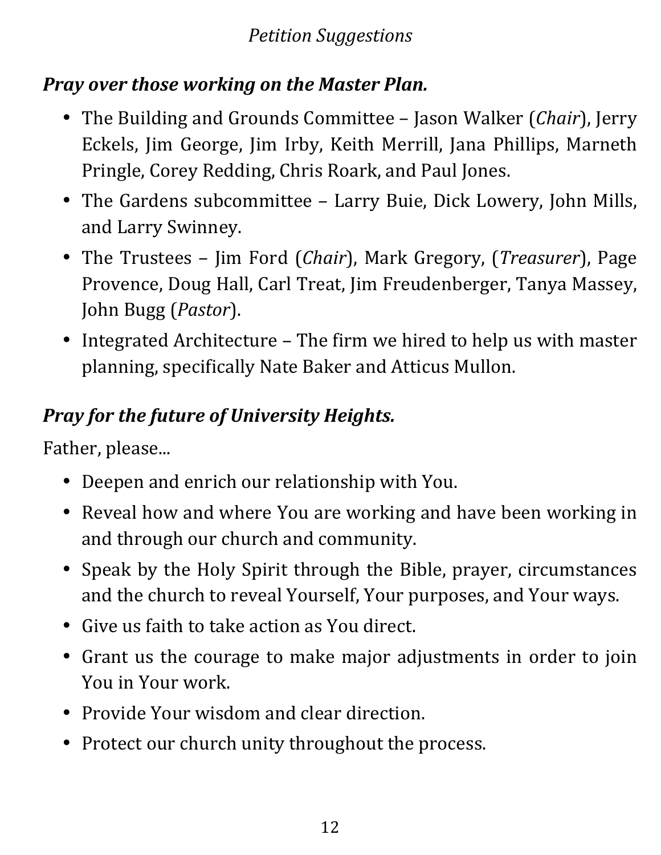#### *Petition Suggestions*

### *Pray over those working on the Master Plan.*

- The Building and Grounds Committee Jason Walker *(Chair)*, Jerry Eckels, Jim George, Jim Irby, Keith Merrill, Jana Phillips, Marneth Pringle, Corey Redding, Chris Roark, and Paul Jones.
- The Gardens subcommittee Larry Buie, Dick Lowery, John Mills, and Larry Swinney.
- The Trustees Jim Ford (*Chair*), Mark Gregory, (*Treasurer*), Page Provence, Doug Hall, Carl Treat, Jim Freudenberger, Tanya Massey, John Bugg (*Pastor*).
- Integrated Architecture The firm we hired to help us with master planning, specifically Nate Baker and Atticus Mullon.

# **Pray for the future of University Heights.**

Father, please...

- Deepen and enrich our relationship with You.
- Reveal how and where You are working and have been working in and through our church and community.
- Speak by the Holy Spirit through the Bible, prayer, circumstances and the church to reveal Yourself, Your purposes, and Your ways.
- Give us faith to take action as You direct.
- Grant us the courage to make major adjustments in order to join You in Your work.
- Provide Your wisdom and clear direction.
- Protect our church unity throughout the process.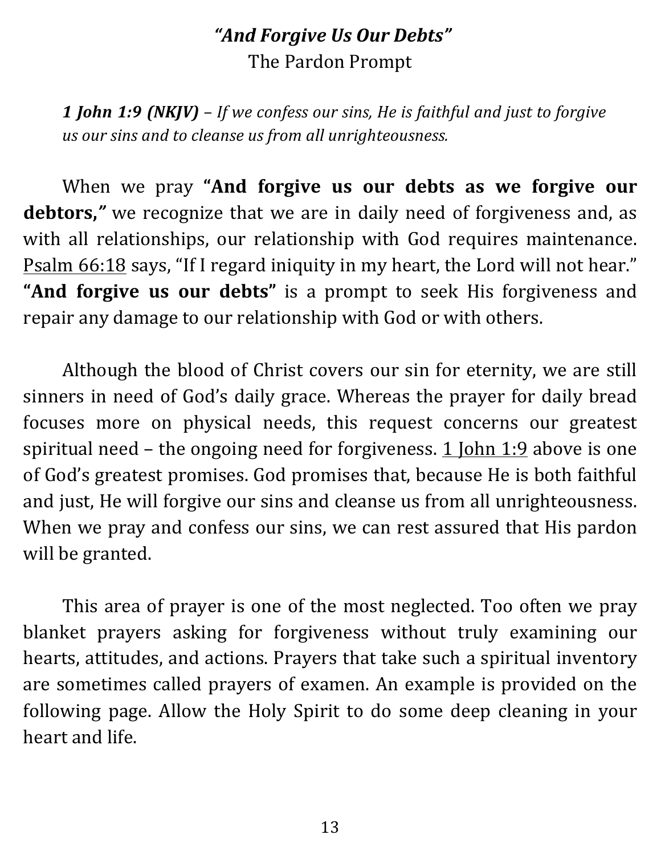#### *"And Forgive Us Our Debts"* The Pardon Prompt

**1** *John* **1:9 (NKJV)** – If we confess our sins, He is faithful and just to forgive *us our sins and to cleanse us from all unrighteousness.*

When we pray "And forgive us our debts as we forgive our debtors," we recognize that we are in daily need of forgiveness and, as with all relationships, our relationship with God requires maintenance. Psalm 66:18 says, "If I regard iniquity in my heart, the Lord will not hear." "And forgive us our debts" is a prompt to seek His forgiveness and repair any damage to our relationship with God or with others.

Although the blood of Christ covers our sin for eternity, we are still sinners in need of God's daily grace. Whereas the prayer for daily bread focuses more on physical needs, this request concerns our greatest spiritual need – the ongoing need for forgiveness.  $1$  John  $1:9$  above is one of God's greatest promises. God promises that, because He is both faithful and just, He will forgive our sins and cleanse us from all unrighteousness. When we pray and confess our sins, we can rest assured that His pardon will be granted.

This area of prayer is one of the most neglected. Too often we pray blanket prayers asking for forgiveness without truly examining our hearts, attitudes, and actions. Prayers that take such a spiritual inventory are sometimes called prayers of examen. An example is provided on the following page. Allow the Holy Spirit to do some deep cleaning in your heart and life.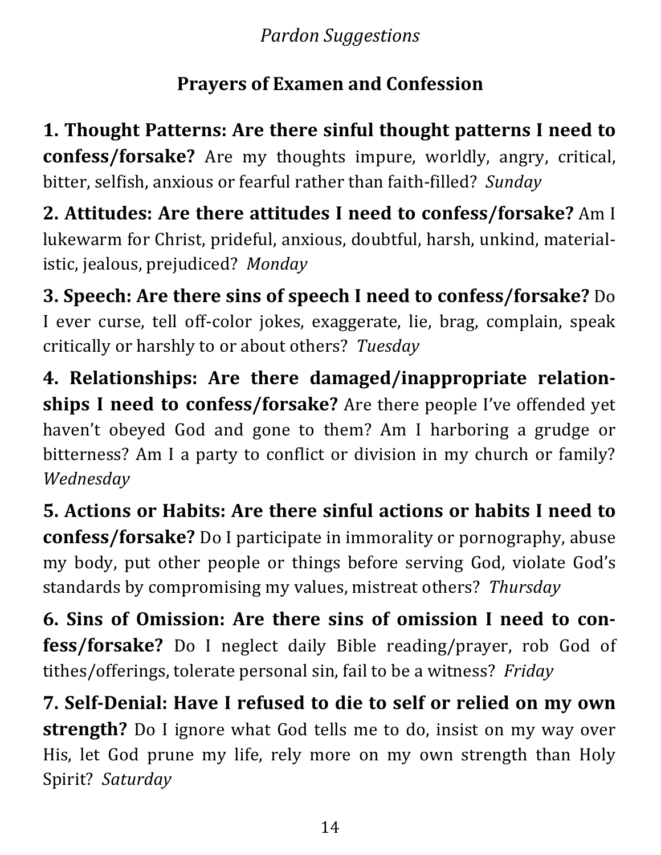*Pardon Suggestions*

## **Prayers of Examen and Confession**

1. Thought Patterns: Are there sinful thought patterns I need to **confess/forsake?** Are my thoughts impure, worldly, angry, critical, bitter, selfish, anxious or fearful rather than faith-filled? Sunday

**2. Attitudes: Are there attitudes I need to confess/forsake?** Am I lukewarm for Christ, prideful, anxious, doubtful, harsh, unkind, materialistic, jealous, prejudiced? Monday

**3. Speech: Are there sins of speech I need to confess/forsake?** Do I ever curse, tell off-color jokes, exaggerate, lie, brag, complain, speak critically or harshly to or about others? Tuesday

**4. Relationships: Are there damaged/inappropriate relationships I need to confess/forsake?** Are there people I've offended yet haven't obeyed God and gone to them? Am I harboring a grudge or bitterness? Am I a party to conflict or division in my church or family? *Wednesday*

**5. Actions or Habits: Are there sinful actions or habits I need to confess/forsake?** Do I participate in immorality or pornography, abuse my body, put other people or things before serving God, violate God's standards by compromising my values, mistreat others? *Thursday* 

**6. Sins of Omission: Are there sins of omission I need to confess/forsake?** Do I neglect daily Bible reading/prayer, rob God of tithes/offerings, tolerate personal sin, fail to be a witness? *Friday* 

**7. Self-Denial: Have I refused to die to self or relied on my own strength?** Do I ignore what God tells me to do, insist on my way over His, let God prune my life, rely more on my own strength than Holy Spirit? *Saturday*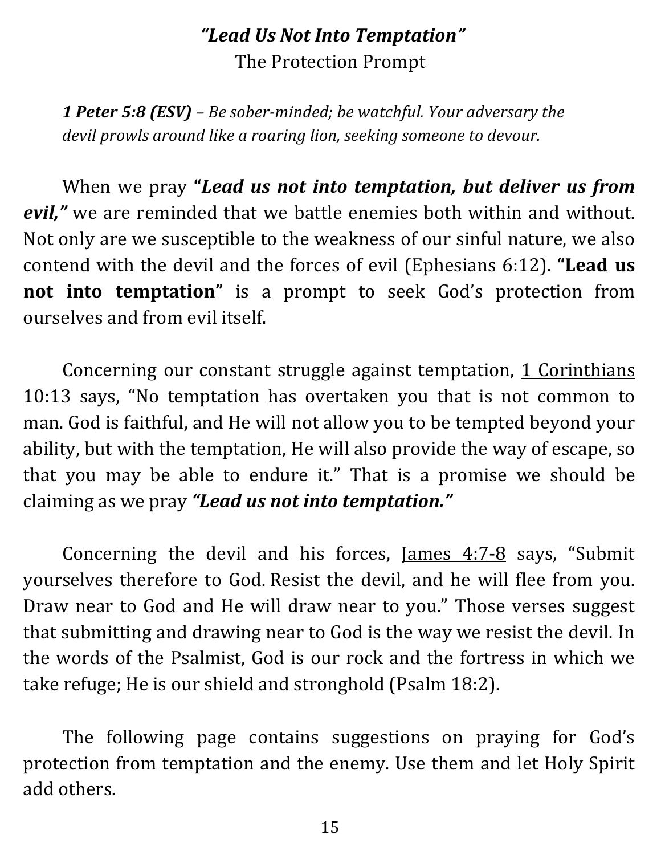#### *"Lead Us Not Into Temptation"* The Protection Prompt

*1 Peter 5:8 (ESV) – Be sober-minded; be watchful. Your adversary the devil prowls around like a roaring lion, seeking someone to devour.* 

When we pray "*Lead us not into temptation, but deliver us from* evil," we are reminded that we battle enemies both within and without. Not only are we susceptible to the weakness of our sinful nature, we also contend with the devil and the forces of evil (Ephesians 6:12). "Lead us **not into temptation"** is a prompt to seek God's protection from ourselves and from evil itself.

Concerning our constant struggle against temptation, 1 Corinthians  $10:13$  says, "No temptation has overtaken you that is not common to man. God is faithful, and He will not allow you to be tempted beyond your ability, but with the temptation, He will also provide the way of escape, so that you may be able to endure it." That is a promise we should be claiming as we pray "**Lead us not into temptation.**"

Concerning the devil and his forces,  $James 4:7-8$  says, "Submit yourselves therefore to God. Resist the devil, and he will flee from you. Draw near to God and He will draw near to you." Those verses suggest that submitting and drawing near to God is the way we resist the devil. In the words of the Psalmist, God is our rock and the fortress in which we take refuge; He is our shield and stronghold  $(Psalm 18:2)$ .

The following page contains suggestions on praying for God's protection from temptation and the enemy. Use them and let Holy Spirit add others.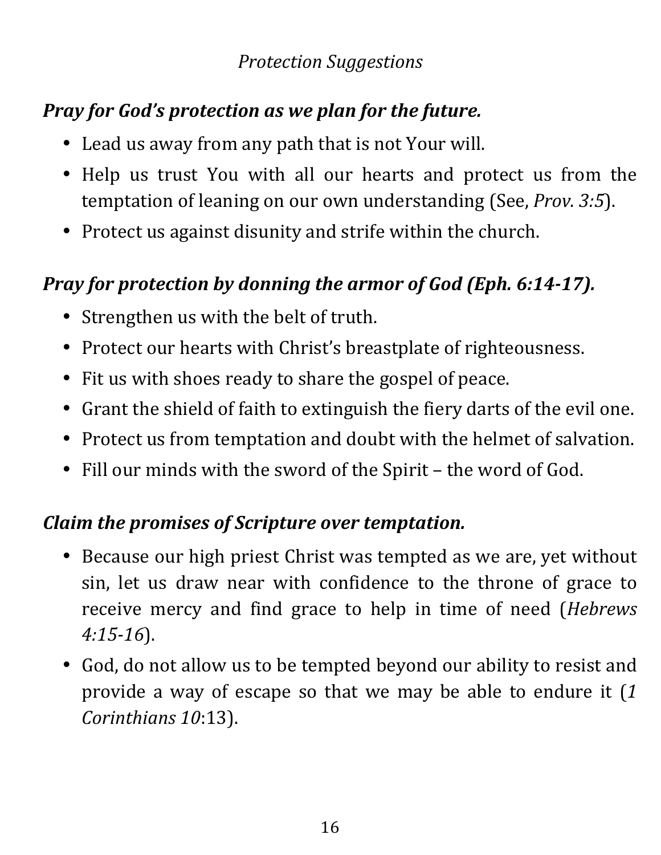#### *Protection Suggestions*

# *Pray for God's protection as we plan for the future.*

- Lead us away from any path that is not Your will.
- Help us trust You with all our hearts and protect us from the temptation of leaning on our own understanding (See, *Prov. 3:5*).
- Protect us against disunity and strife within the church.

#### *Pray for protection by donning the armor of God (Eph. 6:14-17).*

- Strengthen us with the belt of truth.
- Protect our hearts with Christ's breastplate of righteousness.
- Fit us with shoes ready to share the gospel of peace.
- Grant the shield of faith to extinguish the fiery darts of the evil one.
- Protect us from temptation and doubt with the helmet of salvation.
- Fill our minds with the sword of the Spirit the word of God.

#### *Claim the promises of Scripture over temptation.*

- Because our high priest Christ was tempted as we are, yet without sin, let us draw near with confidence to the throne of grace to receive mercy and find grace to help in time of need (*Hebrews 4:15-16*).
- God, do not allow us to be tempted beyond our ability to resist and provide a way of escape so that we may be able to endure it (1) *Corinthians 10*:13).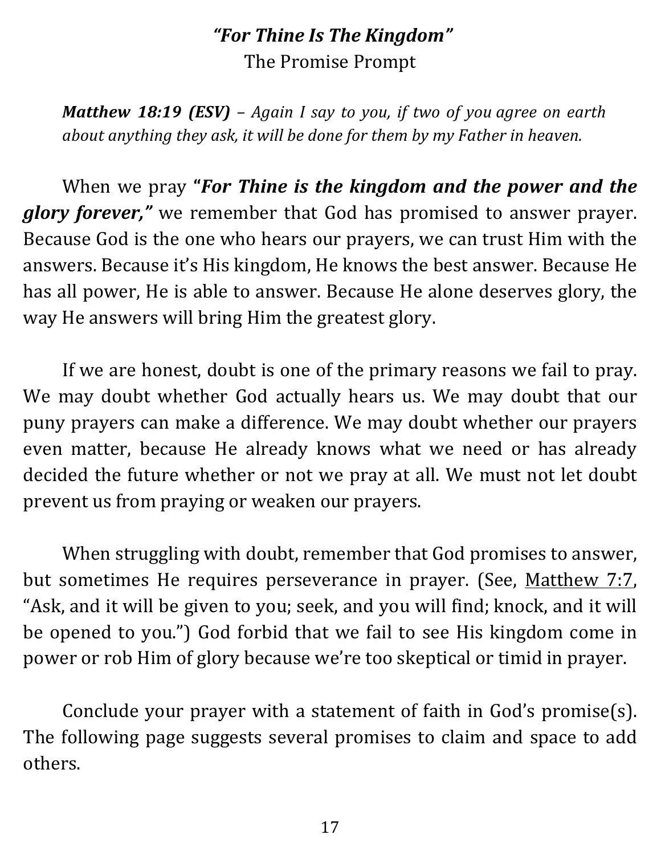#### *"For Thine Is The Kingdom"* The Promise Prompt

*Matthew* 18:19 (ESV) – Again I say to you, if two of you agree on earth *about anything they ask, it will be done for them by my Father in heaven.* 

When we pray "**For Thine is the kingdom and the power and the glory forever,"** we remember that God has promised to answer prayer. Because God is the one who hears our prayers, we can trust Him with the answers. Because it's His kingdom, He knows the best answer. Because He has all power, He is able to answer. Because He alone deserves glory, the way He answers will bring Him the greatest glory.

If we are honest, doubt is one of the primary reasons we fail to pray. We may doubt whether God actually hears us. We may doubt that our puny prayers can make a difference. We may doubt whether our prayers even matter, because He already knows what we need or has already decided the future whether or not we pray at all. We must not let doubt prevent us from praying or weaken our prayers.

When struggling with doubt, remember that God promises to answer, but sometimes He requires perseverance in prayer. (See, Matthew 7:7, "Ask, and it will be given to you; seek, and you will find; knock, and it will be opened to you.") God forbid that we fail to see His kingdom come in power or rob Him of glory because we're too skeptical or timid in prayer.

Conclude your prayer with a statement of faith in God's promise(s). The following page suggests several promises to claim and space to add others.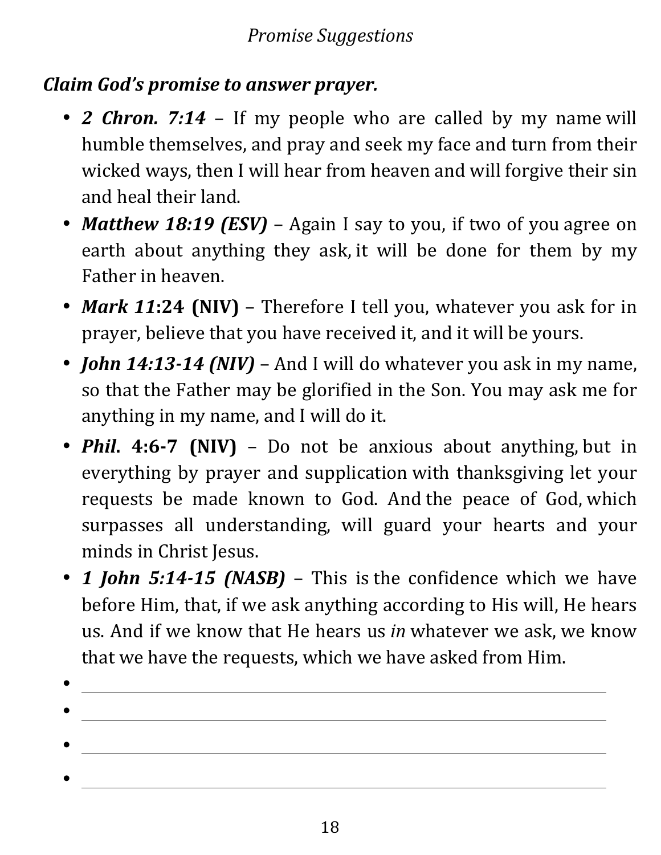#### *Claim God's promise to answer prayer.*

- *2 Chron.* 7:14 If my people who are called by my name will humble themselves, and pray and seek my face and turn from their wicked ways, then I will hear from heaven and will forgive their sin and heal their land.
- *Matthew 18:19 (ESV)* Again I say to you, if two of you agree on earth about anything they ask, it will be done for them by my Father in heaven.
- *Mark* 11:24 (NIV) Therefore I tell you, whatever you ask for in prayer, believe that you have received it, and it will be yours.
- *John 14:13-14 (NIV)* And I will do whatever you ask in my name, so that the Father may be glorified in the Son. You may ask me for anything in my name, and I will do it.
- *Phil.* 4:6-7 (NIV) Do not be anxious about anything, but in everything by prayer and supplication with thanksgiving let your requests be made known to God. And the peace of God, which surpasses all understanding, will guard your hearts and your minds in Christ Jesus.
- 1 *John 5:14-15 (NASB)* This is the confidence which we have before Him, that, if we ask anything according to His will, He hears us. And if we know that He hears us *in* whatever we ask, we know that we have the requests, which we have asked from Him.
- •

•

•

- 
- -